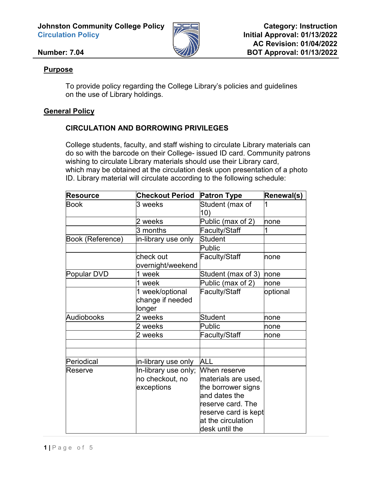**Johnston Community College Policy Circulation Policy**



#### **Number: 7.04**

#### **Purpose**

To provide policy regarding the College Library's policies and guidelines on the use of Library holdings.

### **General Policy**

### **CIRCULATION AND BORROWING PRIVILEGES**

College students, faculty, and staff wishing to circulate Library materials can do so with the barcode on their College- issued ID card. Community patrons wishing to circulate Library materials should use their Library card, which may be obtained at the circulation desk upon presentation of a photo ID. Library material will circulate according to the following schedule:

| <b>Resource</b>  | <b>Checkout Period</b> | <b>Patron Type</b>   | Renewal(s) |
|------------------|------------------------|----------------------|------------|
| <b>Book</b>      | 3 weeks                | Student (max of      |            |
|                  |                        | 10)                  |            |
|                  | 2 weeks                | Public (max of 2)    | none       |
|                  | 3 months               | Faculty/Staff        | 1          |
| Book (Reference) | in-library use only    | <b>Student</b>       |            |
|                  |                        | <b>Public</b>        |            |
|                  | check out              | Faculty/Staff        | none       |
|                  | overnight/weekend      |                      |            |
| Popular DVD      | 1 week                 | Student (max of 3)   | none       |
|                  | 1 week                 | Public (max of 2)    | none       |
|                  | 1 week/optional        | Faculty/Staff        | optional   |
|                  | change if needed       |                      |            |
|                  | longer                 |                      |            |
| Audiobooks       | 2 weeks                | <b>Student</b>       | none       |
|                  | 2 weeks                | <b>Public</b>        | none       |
|                  | 2 weeks                | Faculty/Staff        | none       |
|                  |                        |                      |            |
|                  |                        |                      |            |
| Periodical       | in-library use only    | <b>ALL</b>           |            |
| Reserve          | In-library use only;   | When reserve         |            |
|                  | no checkout, no        | materials are used,  |            |
|                  | exceptions             | the borrower signs   |            |
|                  |                        | and dates the        |            |
|                  |                        | reserve card. The    |            |
|                  |                        | reserve card is kept |            |
|                  |                        | at the circulation   |            |
|                  |                        | desk until the       |            |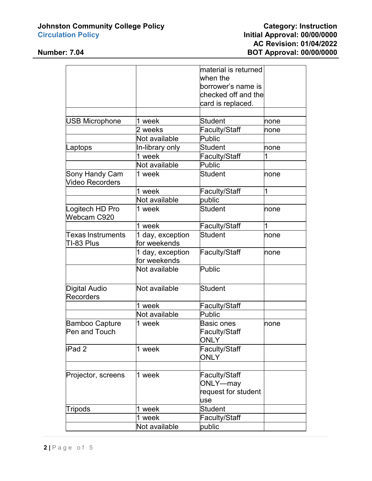# **Johnston Community College Policy Category: Instruction**

## **Circulation Policy Initial Approval: 00/00/0000 AC Revision: 01/04/2022 Number: 7.04 BOT Approval: 00/00/0000**

|                                          |                                  | material is returned                                    |      |
|------------------------------------------|----------------------------------|---------------------------------------------------------|------|
|                                          |                                  | when the                                                |      |
|                                          |                                  | borrower's name is                                      |      |
|                                          |                                  | checked off and the                                     |      |
|                                          |                                  | card is replaced.                                       |      |
|                                          |                                  |                                                         |      |
| <b>USB Microphone</b>                    | 1 week                           | <b>Student</b>                                          | none |
|                                          | 2 weeks                          | Faculty/Staff                                           | none |
|                                          | Not available                    | Public                                                  |      |
| .aptops                                  | In-library only                  | <b>Student</b>                                          | none |
|                                          | 1 week                           | Faculty/Staff                                           | 1    |
|                                          | Not available                    | <b>Public</b>                                           |      |
| Sony Handy Cam<br>Video Recorders        | 1 week                           | <b>Student</b>                                          | none |
|                                          | 1 week                           | Faculty/Staff                                           | 1    |
|                                          | Not available                    | public                                                  |      |
| Logitech HD Pro<br>Webcam C920           | 1 week                           | <b>Student</b>                                          | none |
|                                          | 1 week                           | <b>Faculty/Staff</b>                                    | 1    |
| Texas Instruments<br>TI-83 Plus          | 1 day, exception<br>for weekends | <b>Student</b>                                          | none |
|                                          | 1 day, exception<br>for weekends | Faculty/Staff                                           | none |
|                                          | Not available                    | Public                                                  |      |
| <b>Digital Audio</b><br><b>Recorders</b> | Not available                    | <b>Student</b>                                          |      |
|                                          | 1 week                           | Faculty/Staff                                           |      |
|                                          | Not available                    | <b>Public</b>                                           |      |
| <b>Bamboo Capture</b><br>Pen and Touch   | 1 week                           | Basic ones<br><b>Faculty/Staff</b><br><b>ONLY</b>       | none |
| iPad 2                                   | 1 week                           | Faculty/Staff<br><b>ONLY</b>                            |      |
|                                          |                                  |                                                         |      |
| Projector, screens                       | 1 week                           | Faculty/Staff<br>ONLY-may<br>request for student<br>use |      |
| Tripods                                  | 1 week                           | <b>Student</b>                                          |      |
|                                          | 1 week                           | Faculty/Staff                                           |      |
|                                          | Not available                    | public                                                  |      |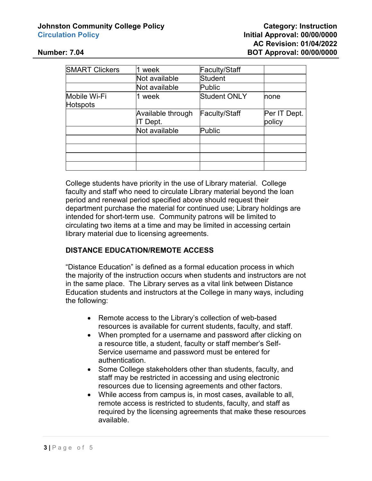#### **Johnston Community College Policy <b>Category: Category:** Instruction **Circulation Policy Initial Approval: 00/00/0000**

| <b>SMART Clickers</b>    | 1 week                       | Faculty/Staff       |                        |
|--------------------------|------------------------------|---------------------|------------------------|
|                          | Not available                | <b>Student</b>      |                        |
|                          | Not available                | <b>Public</b>       |                        |
| Mobile Wi-Fi<br>Hotspots | 1 week                       | <b>Student ONLY</b> | <b>Inone</b>           |
|                          | Available through<br>T Dept. | Faculty/Staff       | Per IT Dept.<br>policy |
|                          | Not available                | Public              |                        |
|                          |                              |                     |                        |
|                          |                              |                     |                        |
|                          |                              |                     |                        |
|                          |                              |                     |                        |

College students have priority in the use of Library material. College faculty and staff who need to circulate Library material beyond the loan period and renewal period specified above should request their department purchase the material for continued use; Library holdings are intended for short-term use. Community patrons will be limited to circulating two items at a time and may be limited in accessing certain library material due to licensing agreements.

#### **DISTANCE EDUCATION/REMOTE ACCESS**

"Distance Education" is defined as a formal education process in which the majority of the instruction occurs when students and instructors are not in the same place. The Library serves as a vital link between Distance Education students and instructors at the College in many ways, including the following:

- Remote access to the Library's collection of web-based resources is available for current students, faculty, and staff.
- When prompted for a username and password after clicking on a resource title, a student, faculty or staff member's Self-Service username and password must be entered for authentication.
- Some College stakeholders other than students, faculty, and staff may be restricted in accessing and using electronic resources due to licensing agreements and other factors.
- While access from campus is, in most cases, available to all, remote access is restricted to students, faculty, and staff as required by the licensing agreements that make these resources available.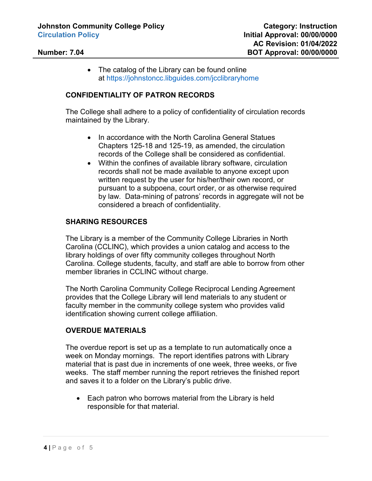• The catalog of the Library can be found online at <https://johnstoncc.libguides.com/jcclibraryhome>

#### **CONFIDENTIALITY OF PATRON RECORDS**

The College shall adhere to a policy of confidentiality of circulation records maintained by the Library.

- In accordance with the North Carolina General Statues Chapters 125-18 and 125-19, as amended, the circulation records of the College shall be considered as confidential.
- Within the confines of available library software, circulation records shall not be made available to anyone except upon written request by the user for his/her/their own record, or pursuant to a subpoena, court order, or as otherwise required by law. Data-mining of patrons' records in aggregate will not be considered a breach of confidentiality.

#### **SHARING RESOURCES**

The Library is a member of the Community College Libraries in North Carolina (CCLINC), which provides a union catalog and access to the library holdings of over fifty community colleges throughout North Carolina. College students, faculty, and staff are able to borrow from other member libraries in CCLINC without charge.

The North Carolina Community College Reciprocal Lending Agreement provides that the College Library will lend materials to any student or faculty member in the community college system who provides valid identification showing current college affiliation.

#### **OVERDUE MATERIALS**

The overdue report is set up as a template to run automatically once a week on Monday mornings. The report identifies patrons with Library material that is past due in increments of one week, three weeks, or five weeks. The staff member running the report retrieves the finished report and saves it to a folder on the Library's public drive.

• Each patron who borrows material from the Library is held responsible for that material.